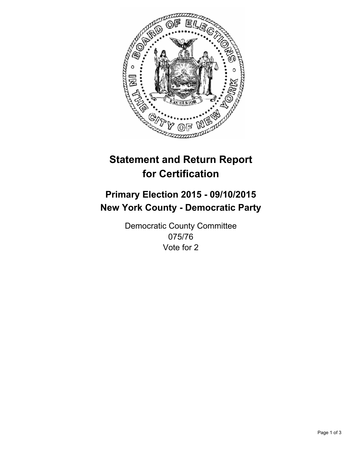

# **Statement and Return Report for Certification**

## **Primary Election 2015 - 09/10/2015 New York County - Democratic Party**

Democratic County Committee 075/76 Vote for 2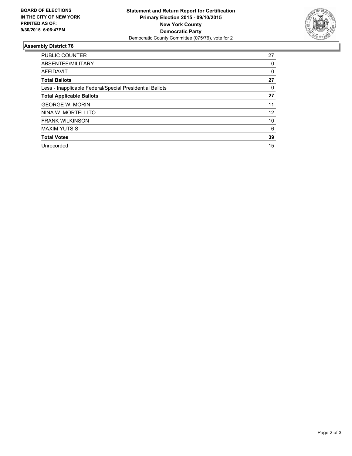

#### **Assembly District 76**

| <b>PUBLIC COUNTER</b>                                    | 27 |
|----------------------------------------------------------|----|
| ABSENTEE/MILITARY                                        | 0  |
| <b>AFFIDAVIT</b>                                         | 0  |
| <b>Total Ballots</b>                                     | 27 |
| Less - Inapplicable Federal/Special Presidential Ballots | 0  |
| <b>Total Applicable Ballots</b>                          | 27 |
| <b>GEORGE W. MORIN</b>                                   | 11 |
| NINA W. MORTELLITO                                       | 12 |
| <b>FRANK WILKINSON</b>                                   | 10 |
| <b>MAXIM YUTSIS</b>                                      | 6  |
| <b>Total Votes</b>                                       | 39 |
| Unrecorded                                               | 15 |